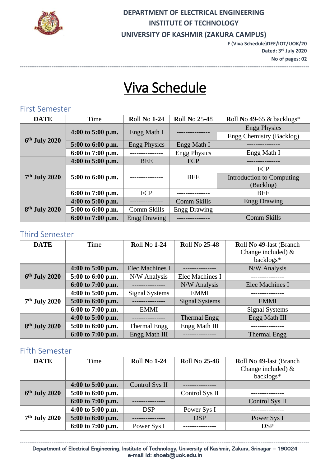

## **DEPARTMENT OF ELECTRICAL ENGINEERING INSTITUTE OF TECHNOLOGY UNIVERSITY OF KASHMIR (ZAKURA CAMPUS)**

**F (Viva Schedule)DEE/IOT/UOK/20 Dated: 3 rd July 2020 No of pages: 02**

# Viva Schedule

**-----------------------------------------------------------------------------------------------------------------------------------------------------------**

### First Semester

| <b>DATE</b>               | Time              | <b>Roll No 1-24</b> | <b>Roll No 25-48</b> | Roll No 49-65 $\&$ backlogs*     |
|---------------------------|-------------------|---------------------|----------------------|----------------------------------|
| $6th$ July 2020           | 4:00 to 5:00 p.m. | Engg Math I         |                      | <b>Engg Physics</b>              |
|                           |                   |                     |                      | Engg Chemistry (Backlog)         |
|                           | 5:00 to 6:00 p.m. | <b>Engg Physics</b> | Engg Math I          |                                  |
|                           | 6:00 to 7:00 p.m. |                     | <b>Engg Physics</b>  | Engg Math I                      |
| 7 <sup>th</sup> July 2020 | 4:00 to 5:00 p.m. | <b>BEE</b>          | <b>FCP</b>           |                                  |
|                           | 5:00 to 6:00 p.m. |                     | <b>BEE</b>           | <b>FCP</b>                       |
|                           |                   |                     |                      | <b>Introduction to Computing</b> |
|                           |                   |                     |                      | (Backlog)                        |
|                           | 6:00 to 7:00 p.m. | <b>FCP</b>          |                      | <b>BEE</b>                       |
| 8 <sup>th</sup> July 2020 | 4:00 to 5:00 p.m. |                     | <b>Comm Skills</b>   | <b>Engg Drawing</b>              |
|                           | 5:00 to 6:00 p.m. | Comm Skills         | <b>Engg Drawing</b>  |                                  |
|                           | 6:00 to 7:00 p.m. | <b>Engg Drawing</b> |                      | <b>Comm Skills</b>               |

### Third Semester

| <b>DATE</b>     | Time                | <b>Roll No 1-24</b>     | <b>Roll No 25-48</b>  | Roll No 49-last (Branch |
|-----------------|---------------------|-------------------------|-----------------------|-------------------------|
|                 |                     |                         |                       | Change included) $&$    |
|                 |                     |                         |                       | backlogs*               |
|                 | $4:00$ to 5:00 p.m. | Elec Machines I         |                       | N/W Analysis            |
| $6th$ July 2020 | 5:00 to 6:00 p.m.   | N/W Analysis            | Elec Machines I       | ------------            |
|                 | 6:00 to 7:00 p.m.   | . _ _ _ _ _ _ _ _ _ _ _ | N/W Analysis          | Elec Machines I         |
|                 | $4:00$ to 5:00 p.m. | <b>Signal Systems</b>   | <b>EMMI</b>           |                         |
| $7th$ July 2020 | 5:00 to 6:00 p.m.   |                         | <b>Signal Systems</b> | <b>EMMI</b>             |
|                 | 6:00 to 7:00 p.m.   | <b>EMMI</b>             |                       | <b>Signal Systems</b>   |
|                 | 4:00 to 5:00 p.m.   |                         | Thermal Engg          | Engg Math III           |
| $8th$ July 2020 | 5:00 to 6:00 p.m.   | Thermal Engg            | Engg Math III         |                         |
|                 | 6:00 to 7:00 p.m.   | Engg Math III           | --------------        | <b>Thermal Engg</b>     |

# Fifth Semester

| <b>DATE</b>     | Time                | <b>Roll No 1-24</b> | <b>Roll No 25-48</b> | Roll No 49-last (Branch<br>Change included) $&$<br>backlogs* |
|-----------------|---------------------|---------------------|----------------------|--------------------------------------------------------------|
|                 | 4:00 to $5:00$ p.m. | Control Sys II      |                      |                                                              |
| $6th$ July 2020 | 5:00 to 6:00 p.m.   |                     | Control Sys II       |                                                              |
|                 | 6:00 to 7:00 p.m.   |                     |                      | Control Sys II                                               |
| $7th$ July 2020 | 4:00 to 5:00 p.m.   | <b>DSP</b>          | Power Sys I          |                                                              |
|                 | 5:00 to 6:00 p.m.   |                     | <b>DSP</b>           | Power Sys I                                                  |
|                 | 6:00 to 7:00 p.m.   | Power Sys I         |                      | <b>DSP</b>                                                   |

**-----------------------------------------------------------------------------------------------------------------------------------------------------------** Department of Electrical Engineering, Institute of Technology, University of Kashmir, Zakura, Srinagar – 190024 e-mail id: shoeb@uok.edu.in